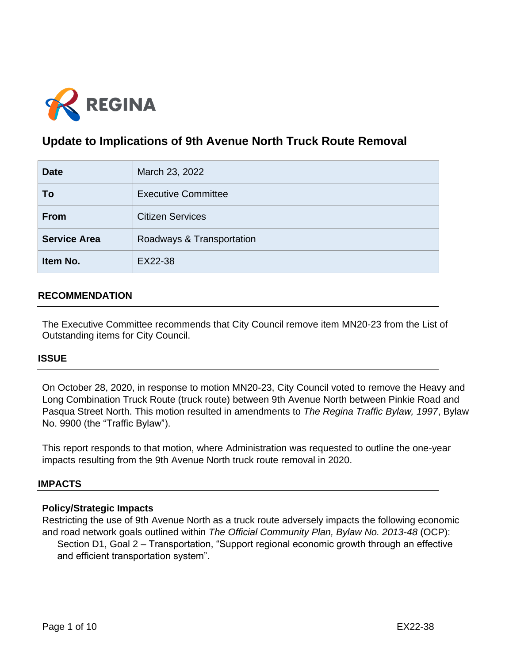

# **Update to Implications of 9th Avenue North Truck Route Removal**

| <b>Date</b>         | March 23, 2022             |  |  |
|---------------------|----------------------------|--|--|
| To                  | <b>Executive Committee</b> |  |  |
| <b>From</b>         | <b>Citizen Services</b>    |  |  |
| <b>Service Area</b> | Roadways & Transportation  |  |  |
| Item No.            | EX22-38                    |  |  |

# **RECOMMENDATION**

The Executive Committee recommends that City Council remove item MN20-23 from the List of Outstanding items for City Council.

#### **ISSUE**

On October 28, 2020, in response to motion MN20-23, City Council voted to remove the Heavy and Long Combination Truck Route (truck route) between 9th Avenue North between Pinkie Road and Pasqua Street North. This motion resulted in amendments to *The Regina Traffic Bylaw, 1997*, Bylaw No. 9900 (the "Traffic Bylaw").

This report responds to that motion, where Administration was requested to outline the one-year impacts resulting from the 9th Avenue North truck route removal in 2020.

#### **IMPACTS**

#### **Policy/Strategic Impacts**

Restricting the use of 9th Avenue North as a truck route adversely impacts the following economic and road network goals outlined within *The Official Community Plan, Bylaw No. 2013-48* (OCP): Section D1, Goal 2 – Transportation, "Support regional economic growth through an effective and efficient transportation system".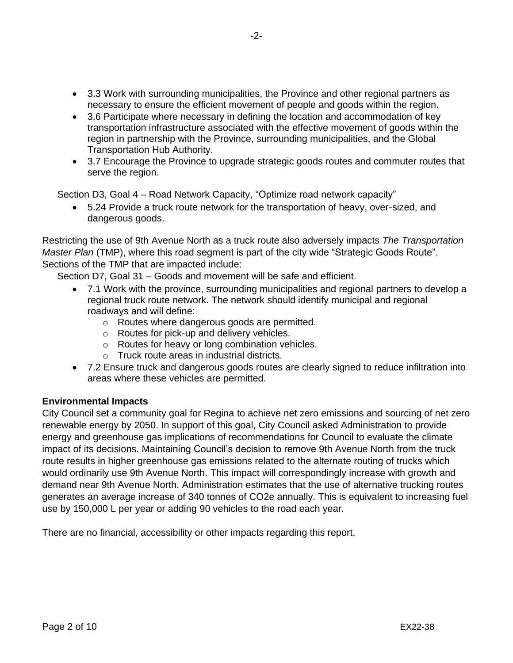- 3.3 Work with surrounding municipalities, the Province and other regional partners as necessary to ensure the efficient movement of people and goods within the region.
- 3.6 Participate where necessary in defining the location and accommodation of key transportation infrastructure associated with the effective movement of goods within the region in partnership with the Province, surrounding municipalities, and the Global Transportation Hub Authority.
- 3.7 Encourage the Province to upgrade strategic goods routes and commuter routes that serve the region.

Section D3, Goal 4 – Road Network Capacity, "Optimize road network capacity"

• 5.24 Provide a truck route network for the transportation of heavy, over-sized, and dangerous goods.

Restricting the use of 9th Avenue North as a truck route also adversely impacts *The Transportation Master Plan* (TMP), where this road segment is part of the city wide "Strategic Goods Route". Sections of the TMP that are impacted include:

Section D7, Goal 31 – Goods and movement will be safe and efficient.

- 7.1 Work with the province, surrounding municipalities and regional partners to develop a regional truck route network. The network should identify municipal and regional roadways and will define:
	- o Routes where dangerous goods are permitted.
	- o Routes for pick-up and delivery vehicles.
	- o Routes for heavy or long combination vehicles.
	- o Truck route areas in industrial districts.
- 7.2 Ensure truck and dangerous goods routes are clearly signed to reduce infiltration into areas where these vehicles are permitted.

#### **Environmental Impacts**

City Council set a community goal for Regina to achieve net zero emissions and sourcing of net zero renewable energy by 2050. In support of this goal, City Council asked Administration to provide energy and greenhouse gas implications of recommendations for Council to evaluate the climate impact of its decisions. Maintaining Council's decision to remove 9th Avenue North from the truck route results in higher greenhouse gas emissions related to the alternate routing of trucks which would ordinarily use 9th Avenue North. This impact will correspondingly increase with growth and demand near 9th Avenue North. Administration estimates that the use of alternative trucking routes generates an average increase of 340 tonnes of CO2e annually. This is equivalent to increasing fuel use by 150,000 L per year or adding 90 vehicles to the road each year.

There are no financial, accessibility or other impacts regarding this report.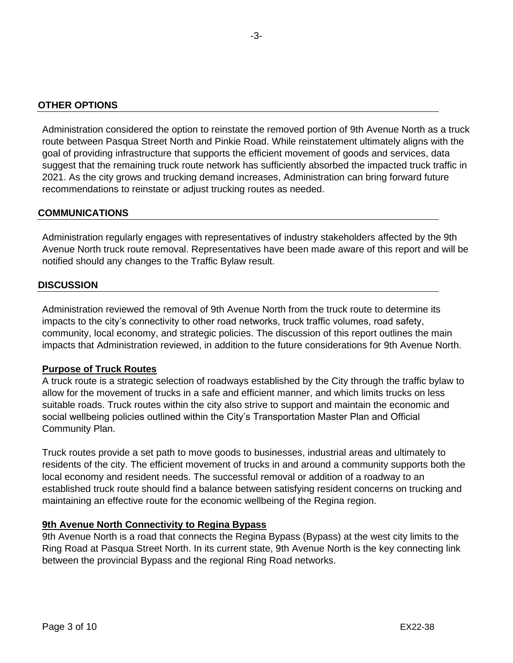Administration considered the option to reinstate the removed portion of 9th Avenue North as a truck route between Pasqua Street North and Pinkie Road. While reinstatement ultimately aligns with the goal of providing infrastructure that supports the efficient movement of goods and services, data suggest that the remaining truck route network has sufficiently absorbed the impacted truck traffic in 2021. As the city grows and trucking demand increases, Administration can bring forward future recommendations to reinstate or adjust trucking routes as needed.

## **COMMUNICATIONS**

Administration regularly engages with representatives of industry stakeholders affected by the 9th Avenue North truck route removal. Representatives have been made aware of this report and will be notified should any changes to the Traffic Bylaw result.

## **DISCUSSION**

Administration reviewed the removal of 9th Avenue North from the truck route to determine its impacts to the city's connectivity to other road networks, truck traffic volumes, road safety, community, local economy, and strategic policies. The discussion of this report outlines the main impacts that Administration reviewed, in addition to the future considerations for 9th Avenue North.

#### **Purpose of Truck Routes**

A truck route is a strategic selection of roadways established by the City through the traffic bylaw to allow for the movement of trucks in a safe and efficient manner, and which limits trucks on less suitable roads. Truck routes within the city also strive to support and maintain the economic and social wellbeing policies outlined within the City's Transportation Master Plan and Official Community Plan.

Truck routes provide a set path to move goods to businesses, industrial areas and ultimately to residents of the city. The efficient movement of trucks in and around a community supports both the local economy and resident needs. The successful removal or addition of a roadway to an established truck route should find a balance between satisfying resident concerns on trucking and maintaining an effective route for the economic wellbeing of the Regina region.

# **9th Avenue North Connectivity to Regina Bypass**

9th Avenue North is a road that connects the Regina Bypass (Bypass) at the west city limits to the Ring Road at Pasqua Street North. In its current state, 9th Avenue North is the key connecting link between the provincial Bypass and the regional Ring Road networks.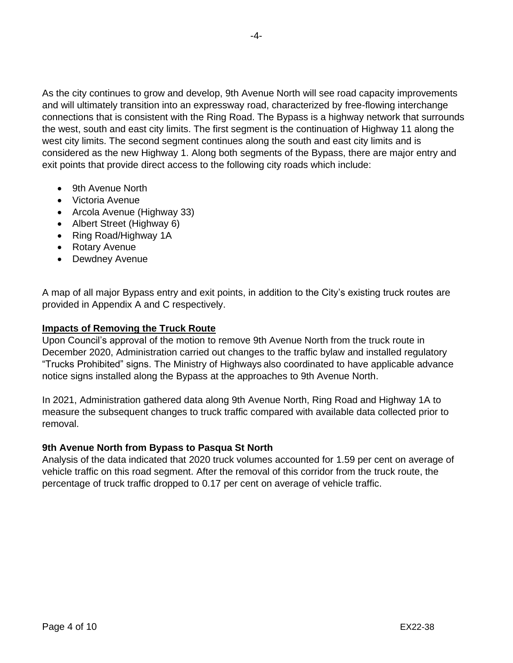As the city continues to grow and develop, 9th Avenue North will see road capacity improvements and will ultimately transition into an expressway road, characterized by free-flowing interchange connections that is consistent with the Ring Road. The Bypass is a highway network that surrounds the west, south and east city limits. The first segment is the continuation of Highway 11 along the west city limits. The second segment continues along the south and east city limits and is considered as the new Highway 1. Along both segments of the Bypass, there are major entry and exit points that provide direct access to the following city roads which include:

- 9th Avenue North
- Victoria Avenue
- Arcola Avenue (Highway 33)
- Albert Street (Highway 6)
- Ring Road/Highway 1A
- Rotary Avenue
- Dewdney Avenue

A map of all major Bypass entry and exit points, in addition to the City's existing truck routes are provided in Appendix A and C respectively.

#### **Impacts of Removing the Truck Route**

Upon Council's approval of the motion to remove 9th Avenue North from the truck route in December 2020, Administration carried out changes to the traffic bylaw and installed regulatory "Trucks Prohibited" signs. The Ministry of Highways also coordinated to have applicable advance notice signs installed along the Bypass at the approaches to 9th Avenue North.

In 2021, Administration gathered data along 9th Avenue North, Ring Road and Highway 1A to measure the subsequent changes to truck traffic compared with available data collected prior to removal.

#### **9th Avenue North from Bypass to Pasqua St North**

Analysis of the data indicated that 2020 truck volumes accounted for 1.59 per cent on average of vehicle traffic on this road segment. After the removal of this corridor from the truck route, the percentage of truck traffic dropped to 0.17 per cent on average of vehicle traffic.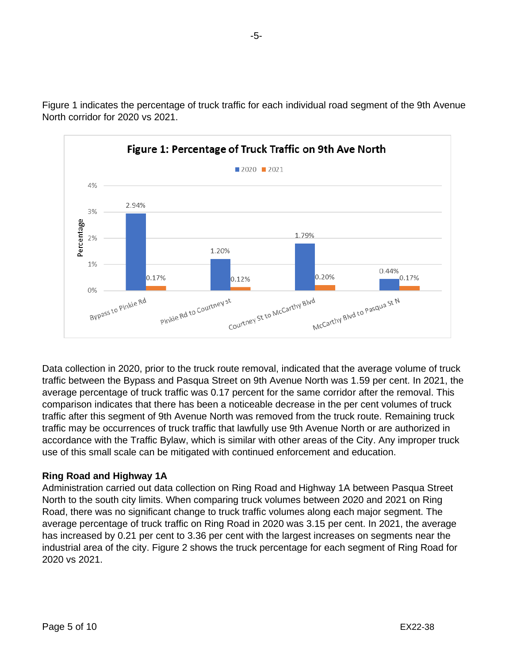

Figure 1 indicates the percentage of truck traffic for each individual road segment of the 9th Avenue North corridor for 2020 vs 2021.

Data collection in 2020, prior to the truck route removal, indicated that the average volume of truck traffic between the Bypass and Pasqua Street on 9th Avenue North was 1.59 per cent. In 2021, the average percentage of truck traffic was 0.17 percent for the same corridor after the removal. This comparison indicates that there has been a noticeable decrease in the per cent volumes of truck traffic after this segment of 9th Avenue North was removed from the truck route. Remaining truck traffic may be occurrences of truck traffic that lawfully use 9th Avenue North or are authorized in accordance with the Traffic Bylaw, which is similar with other areas of the City. Any improper truck use of this small scale can be mitigated with continued enforcement and education.

# **Ring Road and Highway 1A**

Administration carried out data collection on Ring Road and Highway 1A between Pasqua Street North to the south city limits. When comparing truck volumes between 2020 and 2021 on Ring Road, there was no significant change to truck traffic volumes along each major segment. The average percentage of truck traffic on Ring Road in 2020 was 3.15 per cent. In 2021, the average has increased by 0.21 per cent to 3.36 per cent with the largest increases on segments near the industrial area of the city. Figure 2 shows the truck percentage for each segment of Ring Road for 2020 vs 2021.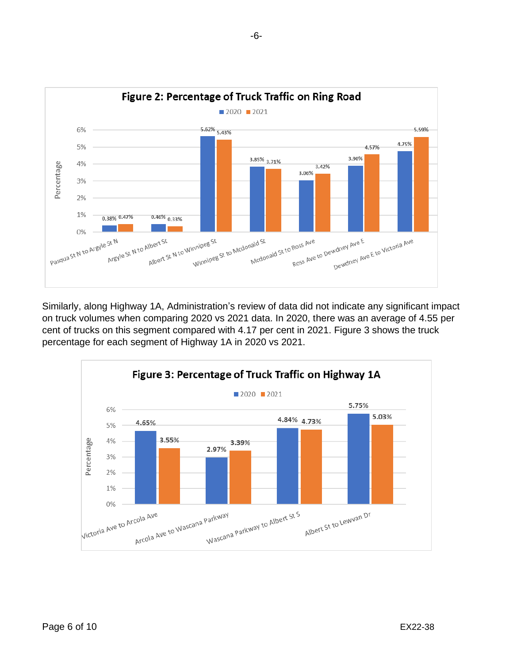

Similarly, along Highway 1A, Administration's review of data did not indicate any significant impact on truck volumes when comparing 2020 vs 2021 data. In 2020, there was an average of 4.55 per cent of trucks on this segment compared with 4.17 per cent in 2021. Figure 3 shows the truck percentage for each segment of Highway 1A in 2020 vs 2021.

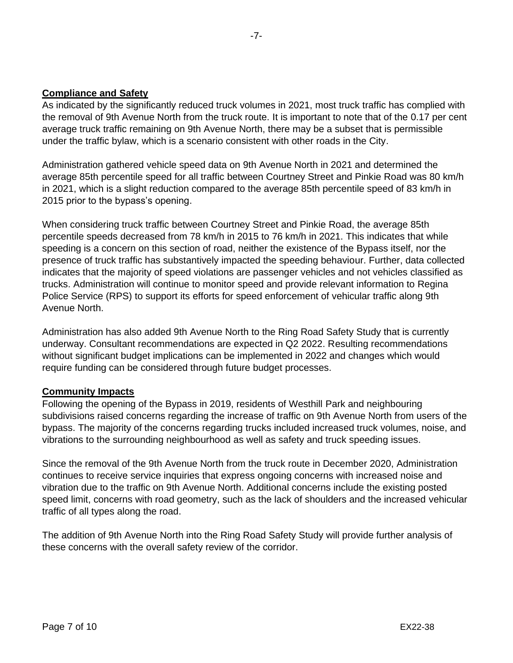## **Compliance and Safety**

As indicated by the significantly reduced truck volumes in 2021, most truck traffic has complied with the removal of 9th Avenue North from the truck route. It is important to note that of the 0.17 per cent average truck traffic remaining on 9th Avenue North, there may be a subset that is permissible under the traffic bylaw, which is a scenario consistent with other roads in the City.

Administration gathered vehicle speed data on 9th Avenue North in 2021 and determined the average 85th percentile speed for all traffic between Courtney Street and Pinkie Road was 80 km/h in 2021, which is a slight reduction compared to the average 85th percentile speed of 83 km/h in 2015 prior to the bypass's opening.

When considering truck traffic between Courtney Street and Pinkie Road, the average 85th percentile speeds decreased from 78 km/h in 2015 to 76 km/h in 2021. This indicates that while speeding is a concern on this section of road, neither the existence of the Bypass itself, nor the presence of truck traffic has substantively impacted the speeding behaviour. Further, data collected indicates that the majority of speed violations are passenger vehicles and not vehicles classified as trucks. Administration will continue to monitor speed and provide relevant information to Regina Police Service (RPS) to support its efforts for speed enforcement of vehicular traffic along 9th Avenue North.

Administration has also added 9th Avenue North to the Ring Road Safety Study that is currently underway. Consultant recommendations are expected in Q2 2022. Resulting recommendations without significant budget implications can be implemented in 2022 and changes which would require funding can be considered through future budget processes.

#### **Community Impacts**

Following the opening of the Bypass in 2019, residents of Westhill Park and neighbouring subdivisions raised concerns regarding the increase of traffic on 9th Avenue North from users of the bypass. The majority of the concerns regarding trucks included increased truck volumes, noise, and vibrations to the surrounding neighbourhood as well as safety and truck speeding issues.

Since the removal of the 9th Avenue North from the truck route in December 2020, Administration continues to receive service inquiries that express ongoing concerns with increased noise and vibration due to the traffic on 9th Avenue North. Additional concerns include the existing posted speed limit, concerns with road geometry, such as the lack of shoulders and the increased vehicular traffic of all types along the road.

The addition of 9th Avenue North into the Ring Road Safety Study will provide further analysis of these concerns with the overall safety review of the corridor.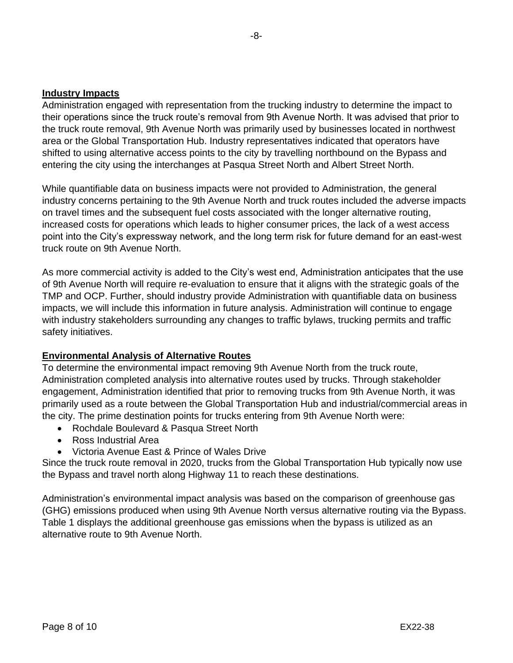Administration engaged with representation from the trucking industry to determine the impact to their operations since the truck route's removal from 9th Avenue North. It was advised that prior to the truck route removal, 9th Avenue North was primarily used by businesses located in northwest area or the Global Transportation Hub. Industry representatives indicated that operators have shifted to using alternative access points to the city by travelling northbound on the Bypass and entering the city using the interchanges at Pasqua Street North and Albert Street North.

While quantifiable data on business impacts were not provided to Administration, the general industry concerns pertaining to the 9th Avenue North and truck routes included the adverse impacts on travel times and the subsequent fuel costs associated with the longer alternative routing, increased costs for operations which leads to higher consumer prices, the lack of a west access point into the City's expressway network, and the long term risk for future demand for an east-west truck route on 9th Avenue North.

As more commercial activity is added to the City's west end, Administration anticipates that the use of 9th Avenue North will require re-evaluation to ensure that it aligns with the strategic goals of the TMP and OCP. Further, should industry provide Administration with quantifiable data on business impacts, we will include this information in future analysis. Administration will continue to engage with industry stakeholders surrounding any changes to traffic bylaws, trucking permits and traffic safety initiatives.

# **Environmental Analysis of Alternative Routes**

To determine the environmental impact removing 9th Avenue North from the truck route, Administration completed analysis into alternative routes used by trucks. Through stakeholder engagement, Administration identified that prior to removing trucks from 9th Avenue North, it was primarily used as a route between the Global Transportation Hub and industrial/commercial areas in the city. The prime destination points for trucks entering from 9th Avenue North were:

- Rochdale Boulevard & Pasqua Street North
- Ross Industrial Area
- Victoria Avenue East & Prince of Wales Drive

Since the truck route removal in 2020, trucks from the Global Transportation Hub typically now use the Bypass and travel north along Highway 11 to reach these destinations.

Administration's environmental impact analysis was based on the comparison of greenhouse gas (GHG) emissions produced when using 9th Avenue North versus alternative routing via the Bypass. Table 1 displays the additional greenhouse gas emissions when the bypass is utilized as an alternative route to 9th Avenue North.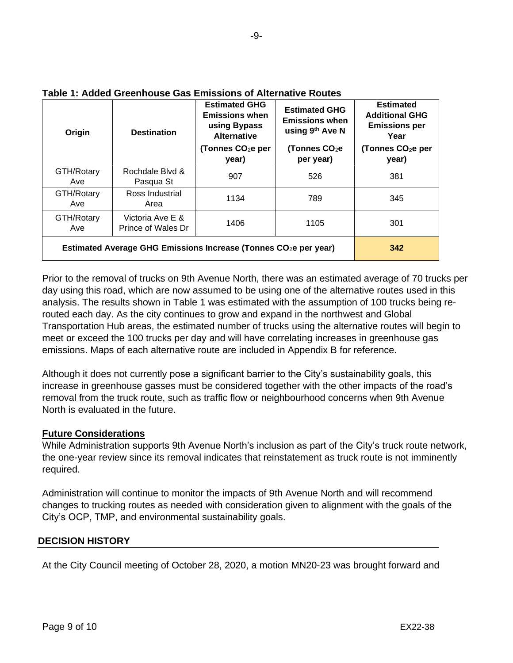| Origin                                                                       | <b>Destination</b>                     | <b>Estimated GHG</b><br><b>Emissions when</b><br>using Bypass<br><b>Alternative</b><br>(Tonnes CO <sub>2</sub> e per<br>year) | <b>Estimated GHG</b><br><b>Emissions when</b><br>using 9th Ave N<br>(Tonnes CO <sub>2</sub> e<br>per year) | <b>Estimated</b><br><b>Additional GHG</b><br><b>Emissions per</b><br>Year<br>(Tonnes CO <sub>2</sub> e per<br>year) |
|------------------------------------------------------------------------------|----------------------------------------|-------------------------------------------------------------------------------------------------------------------------------|------------------------------------------------------------------------------------------------------------|---------------------------------------------------------------------------------------------------------------------|
| GTH/Rotary<br>Ave                                                            | Rochdale Blvd &<br>Pasqua St           | 907                                                                                                                           | 526                                                                                                        | 381                                                                                                                 |
| GTH/Rotary<br>Ave                                                            | Ross Industrial<br>Area                | 1134                                                                                                                          | 789                                                                                                        | 345                                                                                                                 |
| GTH/Rotary<br>Ave                                                            | Victoria Ave E &<br>Prince of Wales Dr | 1406                                                                                                                          | 1105                                                                                                       | 301                                                                                                                 |
| Estimated Average GHG Emissions Increase (Tonnes CO <sub>2</sub> e per year) | 342                                    |                                                                                                                               |                                                                                                            |                                                                                                                     |

### **Table 1: Added Greenhouse Gas Emissions of Alternative Routes**

Prior to the removal of trucks on 9th Avenue North, there was an estimated average of 70 trucks per day using this road, which are now assumed to be using one of the alternative routes used in this analysis. The results shown in Table 1 was estimated with the assumption of 100 trucks being rerouted each day. As the city continues to grow and expand in the northwest and Global Transportation Hub areas, the estimated number of trucks using the alternative routes will begin to meet or exceed the 100 trucks per day and will have correlating increases in greenhouse gas emissions. Maps of each alternative route are included in Appendix B for reference.

Although it does not currently pose a significant barrier to the City's sustainability goals, this increase in greenhouse gasses must be considered together with the other impacts of the road's removal from the truck route, such as traffic flow or neighbourhood concerns when 9th Avenue North is evaluated in the future.

# **Future Considerations**

While Administration supports 9th Avenue North's inclusion as part of the City's truck route network, the one-year review since its removal indicates that reinstatement as truck route is not imminently required.

Administration will continue to monitor the impacts of 9th Avenue North and will recommend changes to trucking routes as needed with consideration given to alignment with the goals of the City's OCP, TMP, and environmental sustainability goals.

# **DECISION HISTORY**

At the City Council meeting of October 28, 2020, a motion MN20-23 was brought forward and